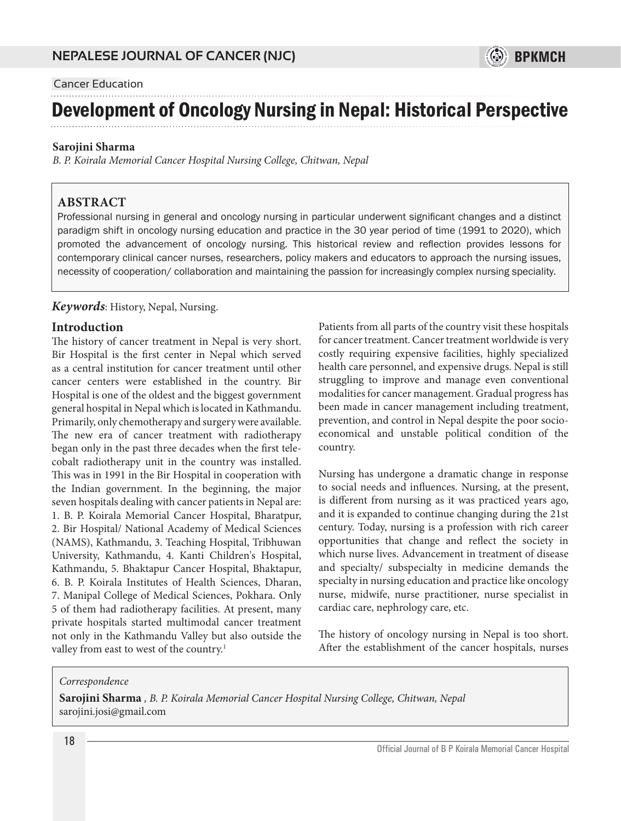## Cancer Education

# Development of Oncology Nursing in Nepal: Historical Perspective

#### **Sarojini Sharma**

*B. P. Koirala Memorial Cancer Hospital Nursing College, Chitwan, Nepal*

#### **ABSTRACT**

Professional nursing in general and oncology nursing in particular underwent significant changes and a distinct paradigm shift in oncology nursing education and practice in the 30 year period of time (1991 to 2020), which promoted the advancement of oncology nursing. This historical review and reflection provides lessons for contemporary clinical cancer nurses, researchers, policy makers and educators to approach the nursing issues, necessity of cooperation/ collaboration and maintaining the passion for increasingly complex nursing speciality.

#### *Keywords*: History, Nepal, Nursing.

#### **Introduction**

The history of cancer treatment in Nepal is very short. Bir Hospital is the first center in Nepal which served as a central institution for cancer treatment until other cancer centers were established in the country. Bir Hospital is one of the oldest and the biggest government general hospital in Nepal which is located in Kathmandu. Primarily, only chemotherapy and surgery were available. The new era of cancer treatment with radiotherapy began only in the past three decades when the first telecobalt radiotherapy unit in the country was installed. This was in 1991 in the Bir Hospital in cooperation with the Indian government. In the beginning, the major seven hospitals dealing with cancer patients in Nepal are: 1. B. P. Koirala Memorial Cancer Hospital, Bharatpur, 2. Bir Hospital/ National Academy of Medical Sciences (NAMS), Kathmandu, 3. Teaching Hospital, Tribhuwan University, Kathmandu, 4. Kanti Children's Hospital, Kathmandu, 5. Bhaktapur Cancer Hospital, Bhaktapur, 6. B. P. Koirala Institutes of Health Sciences, Dharan, 7. Manipal College of Medical Sciences, Pokhara. Only 5 of them had radiotherapy facilities. At present, many private hospitals started multimodal cancer treatment not only in the Kathmandu Valley but also outside the valley from east to west of the country.<sup>1</sup>

Patients from all parts of the country visit these hospitals for cancer treatment. Cancer treatment worldwide is very costly requiring expensive facilities, highly specialized health care personnel, and expensive drugs. Nepal is still struggling to improve and manage even conventional modalities for cancer management. Gradual progress has been made in cancer management including treatment, prevention, and control in Nepal despite the poor socioeconomical and unstable political condition of the country.

 $\circledS$  bpkmch

Nursing has undergone a dramatic change in response to social needs and influences. Nursing, at the present, is different from nursing as it was practiced years ago, and it is expanded to continue changing during the 21st century. Today, nursing is a profession with rich career opportunities that change and reflect the society in which nurse lives. Advancement in treatment of disease and specialty/ subspecialty in medicine demands the specialty in nursing education and practice like oncology nurse, midwife, nurse practitioner, nurse specialist in cardiac care, nephrology care, etc.

The history of oncology nursing in Nepal is too short. After the establishment of the cancer hospitals, nurses

#### *Correspondence*

**Sarojini Sharma** *, B. P. Koirala Memorial Cancer Hospital Nursing College, Chitwan, Nepal* sarojini.josi@gmail.com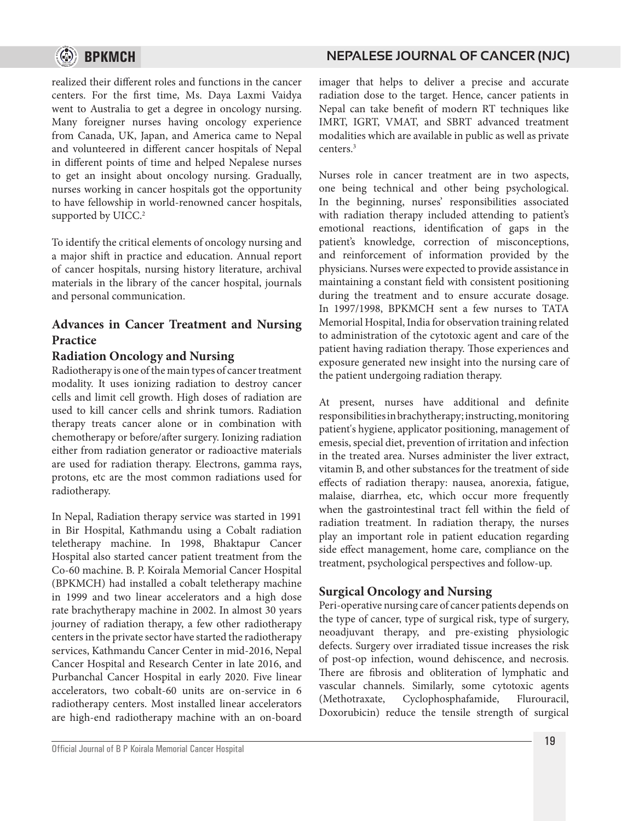

## realized their different roles and functions in the cancer centers. For the first time, Ms. Daya Laxmi Vaidya went to Australia to get a degree in oncology nursing. Many foreigner nurses having oncology experience from Canada, UK, Japan, and America came to Nepal and volunteered in different cancer hospitals of Nepal in different points of time and helped Nepalese nurses to get an insight about oncology nursing. Gradually, nurses working in cancer hospitals got the opportunity

to have fellowship in world-renowned cancer hospitals, supported by UICC.<sup>2</sup> To identify the critical elements of oncology nursing and

a major shift in practice and education. Annual report of cancer hospitals, nursing history literature, archival materials in the library of the cancer hospital, journals and personal communication.

# **Advances in Cancer Treatment and Nursing Practice**

# **Radiation Oncology and Nursing**

Radiotherapy is one of the main types of cancer treatment modality. It uses ionizing radiation to destroy cancer cells and limit cell growth. High doses of radiation are used to kill cancer cells and shrink tumors. Radiation therapy treats cancer alone or in combination with chemotherapy or before/after surgery. Ionizing radiation either from radiation generator or radioactive materials are used for radiation therapy. Electrons, gamma rays, protons, etc are the most common radiations used for radiotherapy.

In Nepal, Radiation therapy service was started in 1991 in Bir Hospital, Kathmandu using a Cobalt radiation teletherapy machine. In 1998, Bhaktapur Cancer Hospital also started cancer patient treatment from the Co-60 machine. B. P. Koirala Memorial Cancer Hospital (BPKMCH) had installed a cobalt teletherapy machine in 1999 and two linear accelerators and a high dose rate brachytherapy machine in 2002. In almost 30 years journey of radiation therapy, a few other radiotherapy centers in the private sector have started the radiotherapy services, Kathmandu Cancer Center in mid-2016, Nepal Cancer Hospital and Research Center in late 2016, and Purbanchal Cancer Hospital in early 2020. Five linear accelerators, two cobalt-60 units are on-service in 6 radiotherapy centers. Most installed linear accelerators are high-end radiotherapy machine with an on-board

imager that helps to deliver a precise and accurate radiation dose to the target. Hence, cancer patients in Nepal can take benefit of modern RT techniques like IMRT, IGRT, VMAT, and SBRT advanced treatment modalities which are available in public as well as private centers.3

Nurses role in cancer treatment are in two aspects, one being technical and other being psychological. In the beginning, nurses' responsibilities associated with radiation therapy included attending to patient's emotional reactions, identification of gaps in the patient's knowledge, correction of misconceptions, and reinforcement of information provided by the physicians. Nurses were expected to provide assistance in maintaining a constant field with consistent positioning during the treatment and to ensure accurate dosage. In 1997/1998, BPKMCH sent a few nurses to TATA Memorial Hospital, India for observation training related to administration of the cytotoxic agent and care of the patient having radiation therapy. Those experiences and exposure generated new insight into the nursing care of the patient undergoing radiation therapy.

At present, nurses have additional and definite responsibilities in brachytherapy; instructing, monitoring patient's hygiene, applicator positioning, management of emesis, special diet, prevention of irritation and infection in the treated area. Nurses administer the liver extract, vitamin B, and other substances for the treatment of side effects of radiation therapy: nausea, anorexia, fatigue, malaise, diarrhea, etc, which occur more frequently when the gastrointestinal tract fell within the field of radiation treatment. In radiation therapy, the nurses play an important role in patient education regarding side effect management, home care, compliance on the treatment, psychological perspectives and follow-up.

# **Surgical Oncology and Nursing**

Peri-operative nursing care of cancer patients depends on the type of cancer, type of surgical risk, type of surgery, neoadjuvant therapy, and pre-existing physiologic defects. Surgery over irradiated tissue increases the risk of post-op infection, wound dehiscence, and necrosis. There are fibrosis and obliteration of lymphatic and vascular channels. Similarly, some cytotoxic agents (Methotraxate, Cyclophosphafamide, Flurouracil, Doxorubicin) reduce the tensile strength of surgical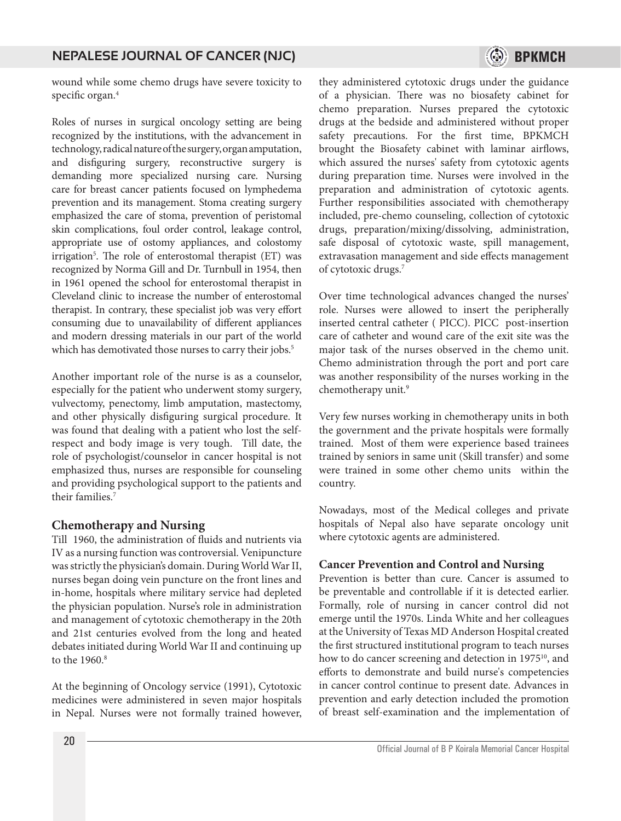

wound while some chemo drugs have severe toxicity to specific organ.<sup>4</sup>

Roles of nurses in surgical oncology setting are being recognized by the institutions, with the advancement in technology, radical nature of the surgery, organ amputation, and disfiguring surgery, reconstructive surgery is demanding more specialized nursing care. Nursing care for breast cancer patients focused on lymphedema prevention and its management. Stoma creating surgery emphasized the care of stoma, prevention of peristomal skin complications, foul order control, leakage control, appropriate use of ostomy appliances, and colostomy irrigation<sup>5</sup>. The role of enterostomal therapist (ET) was recognized by Norma Gill and Dr. Turnbull in 1954, then in 1961 opened the school for enterostomal therapist in Cleveland clinic to increase the number of enterostomal therapist. In contrary, these specialist job was very effort consuming due to unavailability of different appliances and modern dressing materials in our part of the world which has demotivated those nurses to carry their jobs.<sup>5</sup>

Another important role of the nurse is as a counselor, especially for the patient who underwent stomy surgery, vulvectomy, penectomy, limb amputation, mastectomy, and other physically disfiguring surgical procedure. It was found that dealing with a patient who lost the selfrespect and body image is very tough. Till date, the role of psychologist/counselor in cancer hospital is not emphasized thus, nurses are responsible for counseling and providing psychological support to the patients and their families<sup>7</sup>

## **Chemotherapy and Nursing**

Till 1960, the administration of fluids and nutrients via IV as a nursing function was controversial. Venipuncture was strictly the physician's domain. During World War II, nurses began doing vein puncture on the front lines and in-home, hospitals where military service had depleted the physician population. Nurse's role in administration and management of cytotoxic chemotherapy in the 20th and 21st centuries evolved from the long and heated debates initiated during World War II and continuing up to the 1960.<sup>8</sup>

At the beginning of Oncology service (1991), Cytotoxic medicines were administered in seven major hospitals in Nepal. Nurses were not formally trained however, they administered cytotoxic drugs under the guidance of a physician. There was no biosafety cabinet for chemo preparation. Nurses prepared the cytotoxic drugs at the bedside and administered without proper safety precautions. For the first time, BPKMCH brought the Biosafety cabinet with laminar airflows, which assured the nurses' safety from cytotoxic agents during preparation time. Nurses were involved in the preparation and administration of cytotoxic agents. Further responsibilities associated with chemotherapy included, pre-chemo counseling, collection of cytotoxic drugs, preparation/mixing/dissolving, administration, safe disposal of cytotoxic waste, spill management, extravasation management and side effects management of cytotoxic drugs.<sup>7</sup>

Over time technological advances changed the nurses' role. Nurses were allowed to insert the peripherally inserted central catheter ( PICC). PICC post-insertion care of catheter and wound care of the exit site was the major task of the nurses observed in the chemo unit. Chemo administration through the port and port care was another responsibility of the nurses working in the chemotherapy unit.<sup>9</sup>

Very few nurses working in chemotherapy units in both the government and the private hospitals were formally trained. Most of them were experience based trainees trained by seniors in same unit (Skill transfer) and some were trained in some other chemo units within the country.

Nowadays, most of the Medical colleges and private hospitals of Nepal also have separate oncology unit where cytotoxic agents are administered.

## **Cancer Prevention and Control and Nursing**

Prevention is better than cure. Cancer is assumed to be preventable and controllable if it is detected earlier. Formally, role of nursing in cancer control did not emerge until the 1970s. Linda White and her colleagues at the University of Texas MD Anderson Hospital created the first structured institutional program to teach nurses how to do cancer screening and detection in 1975<sup>10</sup>, and efforts to demonstrate and build nurse's competencies in cancer control continue to present date. Advances in prevention and early detection included the promotion of breast self-examination and the implementation of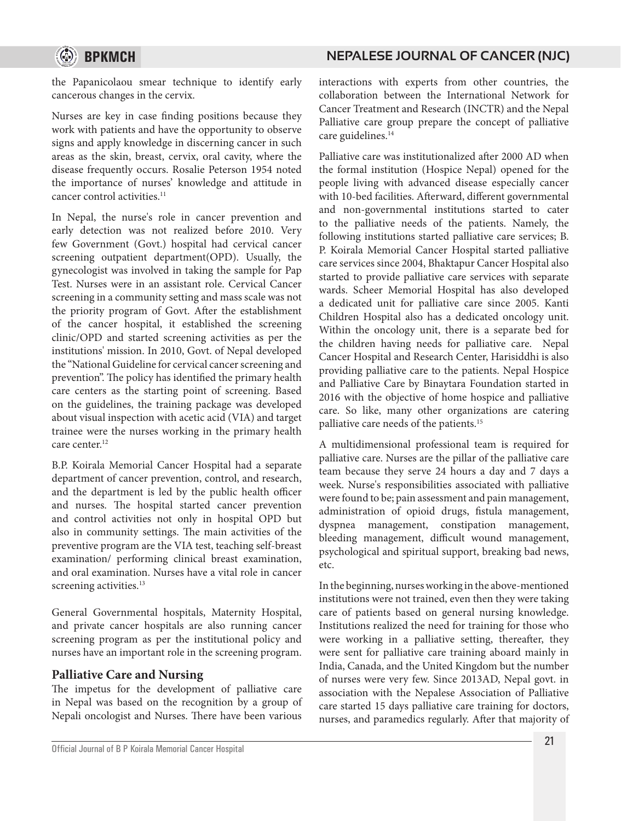

the Papanicolaou smear technique to identify early cancerous changes in the cervix.

Nurses are key in case finding positions because they work with patients and have the opportunity to observe signs and apply knowledge in discerning cancer in such areas as the skin, breast, cervix, oral cavity, where the disease frequently occurs. Rosalie Peterson 1954 noted the importance of nurses' knowledge and attitude in cancer control activities.<sup>11</sup>

In Nepal, the nurse's role in cancer prevention and early detection was not realized before 2010. Very few Government (Govt.) hospital had cervical cancer screening outpatient department(OPD). Usually, the gynecologist was involved in taking the sample for Pap Test. Nurses were in an assistant role. Cervical Cancer screening in a community setting and mass scale was not the priority program of Govt. After the establishment of the cancer hospital, it established the screening clinic/OPD and started screening activities as per the institutions' mission. In 2010, Govt. of Nepal developed the "National Guideline for cervical cancer screening and prevention". The policy has identified the primary health care centers as the starting point of screening. Based on the guidelines, the training package was developed about visual inspection with acetic acid (VIA) and target trainee were the nurses working in the primary health care center.<sup>12</sup>

B.P. Koirala Memorial Cancer Hospital had a separate department of cancer prevention, control, and research, and the department is led by the public health officer and nurses. The hospital started cancer prevention and control activities not only in hospital OPD but also in community settings. The main activities of the preventive program are the VIA test, teaching self-breast examination/ performing clinical breast examination, and oral examination. Nurses have a vital role in cancer screening activities.<sup>13</sup>

General Governmental hospitals, Maternity Hospital, and private cancer hospitals are also running cancer screening program as per the institutional policy and nurses have an important role in the screening program.

## **Palliative Care and Nursing**

The impetus for the development of palliative care in Nepal was based on the recognition by a group of Nepali oncologist and Nurses. There have been various

interactions with experts from other countries, the collaboration between the International Network for Cancer Treatment and Research (INCTR) and the Nepal Palliative care group prepare the concept of palliative care guidelines.<sup>14</sup>

Palliative care was institutionalized after 2000 AD when the formal institution (Hospice Nepal) opened for the people living with advanced disease especially cancer with 10-bed facilities. Afterward, different governmental and non-governmental institutions started to cater to the palliative needs of the patients. Namely, the following institutions started palliative care services; B. P. Koirala Memorial Cancer Hospital started palliative care services since 2004, Bhaktapur Cancer Hospital also started to provide palliative care services with separate wards. Scheer Memorial Hospital has also developed a dedicated unit for palliative care since 2005. Kanti Children Hospital also has a dedicated oncology unit. Within the oncology unit, there is a separate bed for the children having needs for palliative care. Nepal Cancer Hospital and Research Center, Harisiddhi is also providing palliative care to the patients. Nepal Hospice and Palliative Care by Binaytara Foundation started in 2016 with the objective of home hospice and palliative care. So like, many other organizations are catering palliative care needs of the patients.15

A multidimensional professional team is required for palliative care. Nurses are the pillar of the palliative care team because they serve 24 hours a day and 7 days a week. Nurse's responsibilities associated with palliative were found to be; pain assessment and pain management, administration of opioid drugs, fistula management, dyspnea management, constipation management, bleeding management, difficult wound management, psychological and spiritual support, breaking bad news, etc.

In the beginning, nurses working in the above-mentioned institutions were not trained, even then they were taking care of patients based on general nursing knowledge. Institutions realized the need for training for those who were working in a palliative setting, thereafter, they were sent for palliative care training aboard mainly in India, Canada, and the United Kingdom but the number of nurses were very few. Since 2013AD, Nepal govt. in association with the Nepalese Association of Palliative care started 15 days palliative care training for doctors, nurses, and paramedics regularly. After that majority of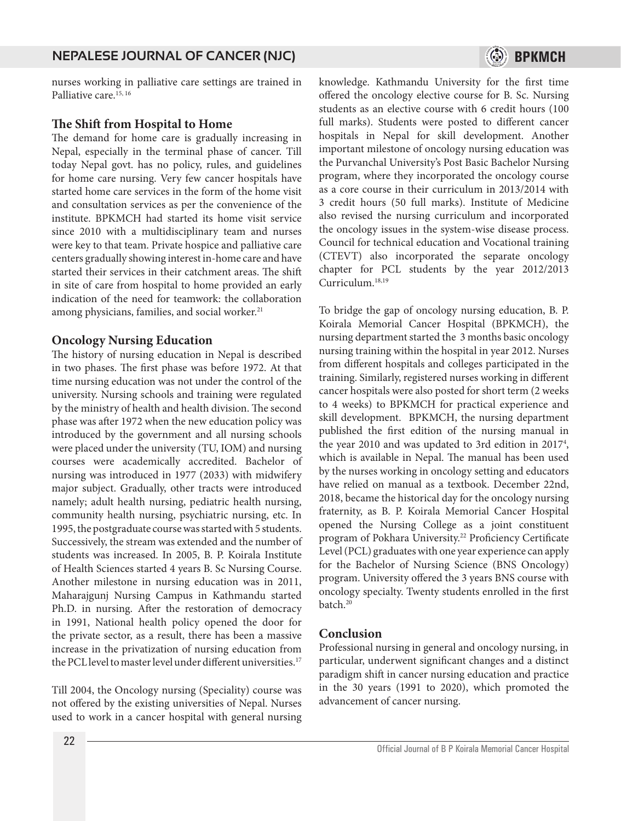

nurses working in palliative care settings are trained in Palliative care.<sup>15, 16</sup>

#### **The Shift from Hospital to Home**

The demand for home care is gradually increasing in Nepal, especially in the terminal phase of cancer. Till today Nepal govt. has no policy, rules, and guidelines for home care nursing. Very few cancer hospitals have started home care services in the form of the home visit and consultation services as per the convenience of the institute. BPKMCH had started its home visit service since 2010 with a multidisciplinary team and nurses were key to that team. Private hospice and palliative care centers gradually showing interest in-home care and have started their services in their catchment areas. The shift in site of care from hospital to home provided an early indication of the need for teamwork: the collaboration among physicians, families, and social worker.<sup>21</sup>

#### **Oncology Nursing Education**

The history of nursing education in Nepal is described in two phases. The first phase was before 1972. At that time nursing education was not under the control of the university. Nursing schools and training were regulated by the ministry of health and health division. The second phase was after 1972 when the new education policy was introduced by the government and all nursing schools were placed under the university (TU, IOM) and nursing courses were academically accredited. Bachelor of nursing was introduced in 1977 (2033) with midwifery major subject. Gradually, other tracts were introduced namely; adult health nursing, pediatric health nursing, community health nursing, psychiatric nursing, etc. In 1995, the postgraduate course was started with 5 students. Successively, the stream was extended and the number of students was increased. In 2005, B. P. Koirala Institute of Health Sciences started 4 years B. Sc Nursing Course. Another milestone in nursing education was in 2011, Maharajgunj Nursing Campus in Kathmandu started Ph.D. in nursing. After the restoration of democracy in 1991, National health policy opened the door for the private sector, as a result, there has been a massive increase in the privatization of nursing education from the PCL level to master level under different universities.<sup>17</sup>

Till 2004, the Oncology nursing (Speciality) course was not offered by the existing universities of Nepal. Nurses used to work in a cancer hospital with general nursing

knowledge. Kathmandu University for the first time offered the oncology elective course for B. Sc. Nursing students as an elective course with 6 credit hours (100 full marks). Students were posted to different cancer hospitals in Nepal for skill development. Another important milestone of oncology nursing education was the Purvanchal University's Post Basic Bachelor Nursing program, where they incorporated the oncology course as a core course in their curriculum in 2013/2014 with 3 credit hours (50 full marks). Institute of Medicine also revised the nursing curriculum and incorporated the oncology issues in the system-wise disease process. Council for technical education and Vocational training (CTEVT) also incorporated the separate oncology chapter for PCL students by the year 2012/2013 Curriculum.18,19

To bridge the gap of oncology nursing education, B. P. Koirala Memorial Cancer Hospital (BPKMCH), the nursing department started the 3 months basic oncology nursing training within the hospital in year 2012. Nurses from different hospitals and colleges participated in the training. Similarly, registered nurses working in different cancer hospitals were also posted for short term (2 weeks to 4 weeks) to BPKMCH for practical experience and skill development. BPKMCH, the nursing department published the first edition of the nursing manual in the year 2010 and was updated to 3rd edition in 20174 , which is available in Nepal. The manual has been used by the nurses working in oncology setting and educators have relied on manual as a textbook. December 22nd, 2018, became the historical day for the oncology nursing fraternity, as B. P. Koirala Memorial Cancer Hospital opened the Nursing College as a joint constituent program of Pokhara University.<sup>22</sup> Proficiency Certificate Level (PCL) graduates with one year experience can apply for the Bachelor of Nursing Science (BNS Oncology) program. University offered the 3 years BNS course with oncology specialty. Twenty students enrolled in the first batch.<sup>20</sup>

#### **Conclusion**

Professional nursing in general and oncology nursing, in particular, underwent significant changes and a distinct paradigm shift in cancer nursing education and practice in the 30 years (1991 to 2020), which promoted the advancement of cancer nursing.